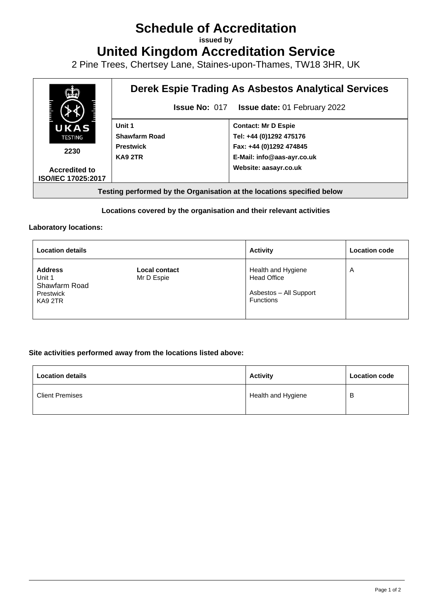# **Schedule of Accreditation**

**issued by**

**United Kingdom Accreditation Service**

2 Pine Trees, Chertsey Lane, Staines-upon-Thames, TW18 3HR, UK



#### **Locations covered by the organisation and their relevant activities**

#### **Laboratory locations:**

| <b>Location details</b>                                           |                                    | <b>Activity</b>                                                                        | <b>Location code</b> |
|-------------------------------------------------------------------|------------------------------------|----------------------------------------------------------------------------------------|----------------------|
| <b>Address</b><br>Unit 1<br>Shawfarm Road<br>Prestwick<br>KA9 2TR | <b>Local contact</b><br>Mr D Espie | Health and Hygiene<br><b>Head Office</b><br>Asbestos - All Support<br><b>Functions</b> | A                    |

#### **Site activities performed away from the locations listed above:**

| <b>Location details</b> | <b>Activity</b>    | <b>Location code</b> |
|-------------------------|--------------------|----------------------|
| <b>Client Premises</b>  | Health and Hygiene | в                    |